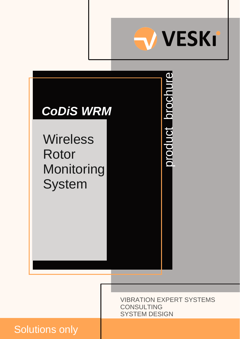

product brochure

product brochure

# *CoDiS WRM* **Wireless**

Rotor Monitoring **System** 

> VIBRATION EXPERT SYSTEMS **CONSULTING** SYSTEM DESIGN

# Solutions only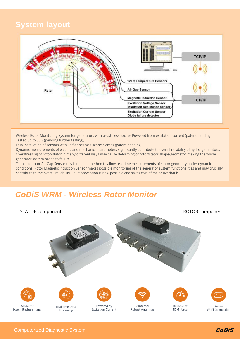## **System layout**



Wireless Rotor Monitoring System for generators with brush-less exciter Powered from excitation current (patent pending), Tested up to 50G (pending further testing),

Easy installation of sensors with Self-adhesive silicone clamps (patent pending).

Dynamic measurements of electric and mechanical parameters significantly contribute to overall reliability of hydro-generators. Overstressing of rotor/stator in many different ways may cause deforming of rotor/stator shape/geometry, making the whole generator system prone to failure.

Thanks to rotor Air Gap Sensor this is the first method to allow real time measurements of stator geometry under dynamic conditions. Rotor Magnetic Induction Sensor makes possible monitoring of the generator system functionalities and may crucially contribute to the overall reliability. Fault prevention is now possible and saves cost of major overhauls.

## *CoDiS WRM - Wireless Rotor Monitor*



Wi-Fi Connection

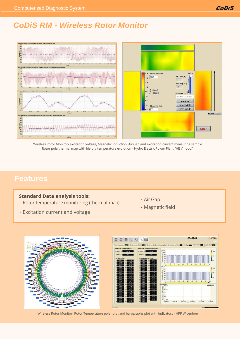## *CoDiS RM - Wireless Rotor Monitor*



Wireless Rotor Monitor- excitation voltage, Magnetic Induction, Air Gap and excitation current measuring sample Rotor pole thermal map with history temperature evolution - Hydro Electric Power Plant "HE Vinodol"

## **Features**

## **Standard Data analysis tools:**

- Rotor temperature monitoring (thermal map)
- Excitation current and voltage
- Air Gap
- Magnetic field



Wireless Rotor Monitor- Rotor Temperature polar plot and barographs plot with indicators - HPP Wivenhoe